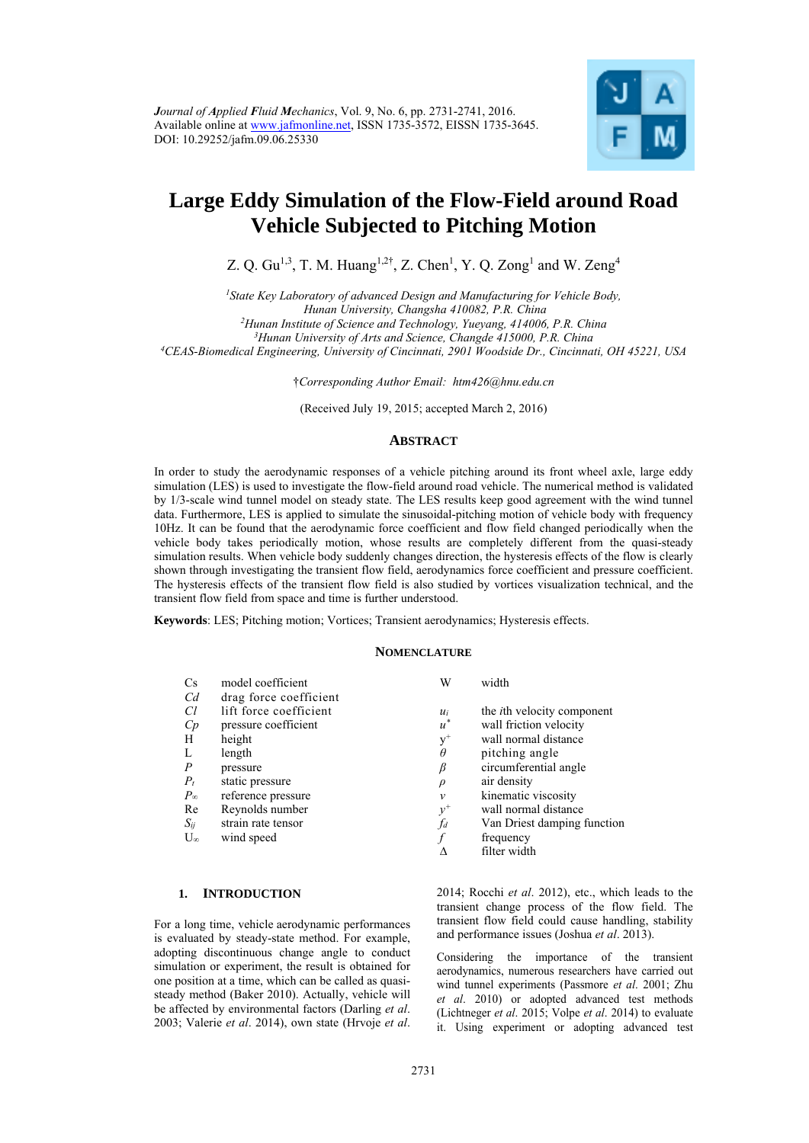

# **Large Eddy Simulation of the Flow-Field around Road Vehicle Subjected to Pitching Motion**

Z. Q. Gu<sup>1,3</sup>, T. M. Huang<sup>1,2†</sup>, Z. Chen<sup>1</sup>, Y. Q. Zong<sup>1</sup> and W. Zeng<sup>4</sup>

*1State Key Laboratory of advanced Design and Manufacturing for Vehicle Body, Hunan University, Changsha 410082, P.R. China 2Hunan Institute of Science and Technology, Yueyang, 414006, P.R. China* 

*3Hunan University of Arts and Science, Changde 415000, P.R. China 4CEAS-Biomedical Engineering, University of Cincinnati, 2901 Woodside Dr., Cincinnati, OH 45221, USA* 

†*Corresponding Author Email: htm426@hnu.edu.cn* 

(Received July 19, 2015; accepted March 2, 2016)

# **ABSTRACT**

In order to study the aerodynamic responses of a vehicle pitching around its front wheel axle, large eddy simulation (LES) is used to investigate the flow-field around road vehicle. The numerical method is validated by 1/3-scale wind tunnel model on steady state. The LES results keep good agreement with the wind tunnel data. Furthermore, LES is applied to simulate the sinusoidal-pitching motion of vehicle body with frequency 10Hz. It can be found that the aerodynamic force coefficient and flow field changed periodically when the vehicle body takes periodically motion, whose results are completely different from the quasi-steady simulation results. When vehicle body suddenly changes direction, the hysteresis effects of the flow is clearly shown through investigating the transient flow field, aerodynamics force coefficient and pressure coefficient. The hysteresis effects of the transient flow field is also studied by vortices visualization technical, and the transient flow field from space and time is further understood.

**Keywords**: LES; Pitching motion; Vortices; Transient aerodynamics; Hysteresis effects.

## **NOMENCLATURE**

| $\rm Cs$     | model coefficient      | W      | width                              |
|--------------|------------------------|--------|------------------------------------|
| Cd           | drag force coefficient |        |                                    |
| Сl           | lift force coefficient | $u_i$  | the <i>i</i> th velocity component |
| Cp           | pressure coefficient   | $u^*$  | wall friction velocity             |
| Н            | height                 | $y^+$  | wall normal distance               |
| L            | length                 | θ      | pitching angle                     |
| Р            | pressure               | β      | circumferential angle              |
| $P_t$        | static pressure        | $\rho$ | air density                        |
| $P_{\infty}$ | reference pressure     | v      | kinematic viscosity                |
| Re           | Reynolds number        | $y^+$  | wall normal distance               |
| $S_{ij}$     | strain rate tensor     | fd     | Van Driest damping function        |
| $U_{\infty}$ | wind speed             |        | frequency                          |
|              |                        | Λ      | filter width                       |

#### **1. INTRODUCTION**

For a long time, vehicle aerodynamic performances is evaluated by steady-state method. For example, adopting discontinuous change angle to conduct simulation or experiment, the result is obtained for one position at a time, which can be called as quasisteady method (Baker 2010). Actually, vehicle will be affected by environmental factors (Darling *et al*. 2003; Valerie *et al*. 2014), own state (Hrvoje *et al*.

2014; Rocchi *et al*. 2012), etc., which leads to the transient change process of the flow field. The transient flow field could cause handling, stability and performance issues (Joshua *et al*. 2013).

Considering the importance of the transient aerodynamics, numerous researchers have carried out wind tunnel experiments (Passmore *et al*. 2001; Zhu *et al*. 2010) or adopted advanced test methods (Lichtneger *et al*. 2015; Volpe *et al*. 2014) to evaluate it. Using experiment or adopting advanced test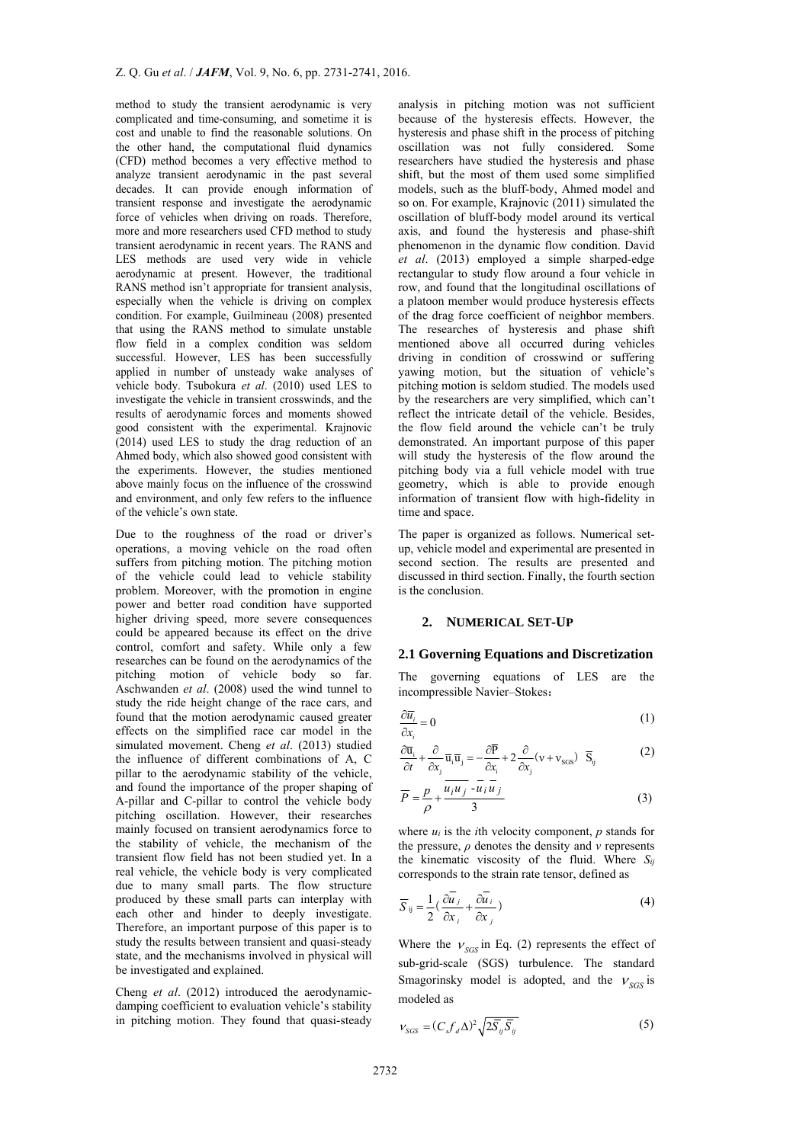method to study the transient aerodynamic is very complicated and time-consuming, and sometime it is cost and unable to find the reasonable solutions. On the other hand, the computational fluid dynamics (CFD) method becomes a very effective method to analyze transient aerodynamic in the past several decades. It can provide enough information of transient response and investigate the aerodynamic force of vehicles when driving on roads. Therefore, more and more researchers used CFD method to study transient aerodynamic in recent years. The RANS and LES methods are used very wide in vehicle aerodynamic at present. However, the traditional RANS method isn't appropriate for transient analysis, especially when the vehicle is driving on complex condition. For example, Guilmineau (2008) presented that using the RANS method to simulate unstable flow field in a complex condition was seldom successful. However, LES has been successfully applied in number of unsteady wake analyses of vehicle body. Tsubokura *et al*. (2010) used LES to investigate the vehicle in transient crosswinds, and the results of aerodynamic forces and moments showed good consistent with the experimental. Krajnovic (2014) used LES to study the drag reduction of an Ahmed body, which also showed good consistent with the experiments. However, the studies mentioned above mainly focus on the influence of the crosswind and environment, and only few refers to the influence of the vehicle's own state.

Due to the roughness of the road or driver's operations, a moving vehicle on the road often suffers from pitching motion. The pitching motion of the vehicle could lead to vehicle stability problem. Moreover, with the promotion in engine power and better road condition have supported higher driving speed, more severe consequences could be appeared because its effect on the drive control, comfort and safety. While only a few researches can be found on the aerodynamics of the pitching motion of vehicle body so far. Aschwanden *et al*. (2008) used the wind tunnel to study the ride height change of the race cars, and found that the motion aerodynamic caused greater effects on the simplified race car model in the simulated movement. Cheng *et al*. (2013) studied the influence of different combinations of A, C pillar to the aerodynamic stability of the vehicle, and found the importance of the proper shaping of A-pillar and C-pillar to control the vehicle body pitching oscillation. However, their researches mainly focused on transient aerodynamics force to the stability of vehicle, the mechanism of the transient flow field has not been studied yet. In a real vehicle, the vehicle body is very complicated due to many small parts. The flow structure produced by these small parts can interplay with each other and hinder to deeply investigate. Therefore, an important purpose of this paper is to study the results between transient and quasi-steady state, and the mechanisms involved in physical will be investigated and explained.

Cheng *et al*. (2012) introduced the aerodynamicdamping coefficient to evaluation vehicle's stability in pitching motion. They found that quasi-steady

analysis in pitching motion was not sufficient because of the hysteresis effects. However, the hysteresis and phase shift in the process of pitching oscillation was not fully considered. Some researchers have studied the hysteresis and phase shift, but the most of them used some simplified models, such as the bluff-body, Ahmed model and so on. For example, Krajnovic (2011) simulated the oscillation of bluff-body model around its vertical axis, and found the hysteresis and phase-shift phenomenon in the dynamic flow condition. David *et al*. (2013) employed a simple sharped-edge rectangular to study flow around a four vehicle in row, and found that the longitudinal oscillations of a platoon member would produce hysteresis effects of the drag force coefficient of neighbor members. The researches of hysteresis and phase shift mentioned above all occurred during vehicles driving in condition of crosswind or suffering yawing motion, but the situation of vehicle's pitching motion is seldom studied. The models used by the researchers are very simplified, which can't reflect the intricate detail of the vehicle. Besides, the flow field around the vehicle can't be truly demonstrated. An important purpose of this paper will study the hysteresis of the flow around the pitching body via a full vehicle model with true geometry, which is able to provide enough information of transient flow with high-fidelity in time and space.

The paper is organized as follows. Numerical setup, vehicle model and experimental are presented in second section. The results are presented and discussed in third section. Finally, the fourth section is the conclusion.

## **2. NUMERICAL SET-UP**

#### **2.1 Governing Equations and Discretization**

The governing equations of LES are the incompressible Navier–Stokes:

$$
\frac{\partial \overline{u_i}}{\partial x_i} = 0 \tag{1}
$$

$$
\frac{\partial \overline{\mathbf{u}}_i}{\partial t} + \frac{\partial}{\partial x_i} \overline{\mathbf{u}}_i \overline{\mathbf{u}}_j = -\frac{\partial \overline{P}}{\partial x_i} + 2 \frac{\partial}{\partial x_j} (\mathbf{v} + \mathbf{v}_{sgs}) \overline{\mathbf{S}}_{ij}
$$
(2)

$$
\overline{P} = \frac{p}{\rho} + \frac{\overline{u_i u_j} - \overline{u_i u_j}}{3}
$$
 (3)

where *ui* is the *i*th velocity component, *p* stands for the pressure, *ρ* denotes the density and *ν* represents the kinematic viscosity of the fluid. Where *Sij* corresponds to the strain rate tensor, defined as

$$
\overline{S}_{ij} = \frac{1}{2} \left( \frac{\partial \overline{u}_j}{\partial x_i} + \frac{\partial \overline{u}_i}{\partial x_j} \right)
$$
(4)

Where the  $v_{SGS}$  in Eq. (2) represents the effect of sub-grid-scale (SGS) turbulence. The standard Smagorinsky model is adopted, and the  $V_{SGS}$  is modeled as

$$
V_{SGS} = (C_s f_d \Delta)^2 \sqrt{2\overline{S}_{ij}\overline{S}_{ij}}
$$
 (5)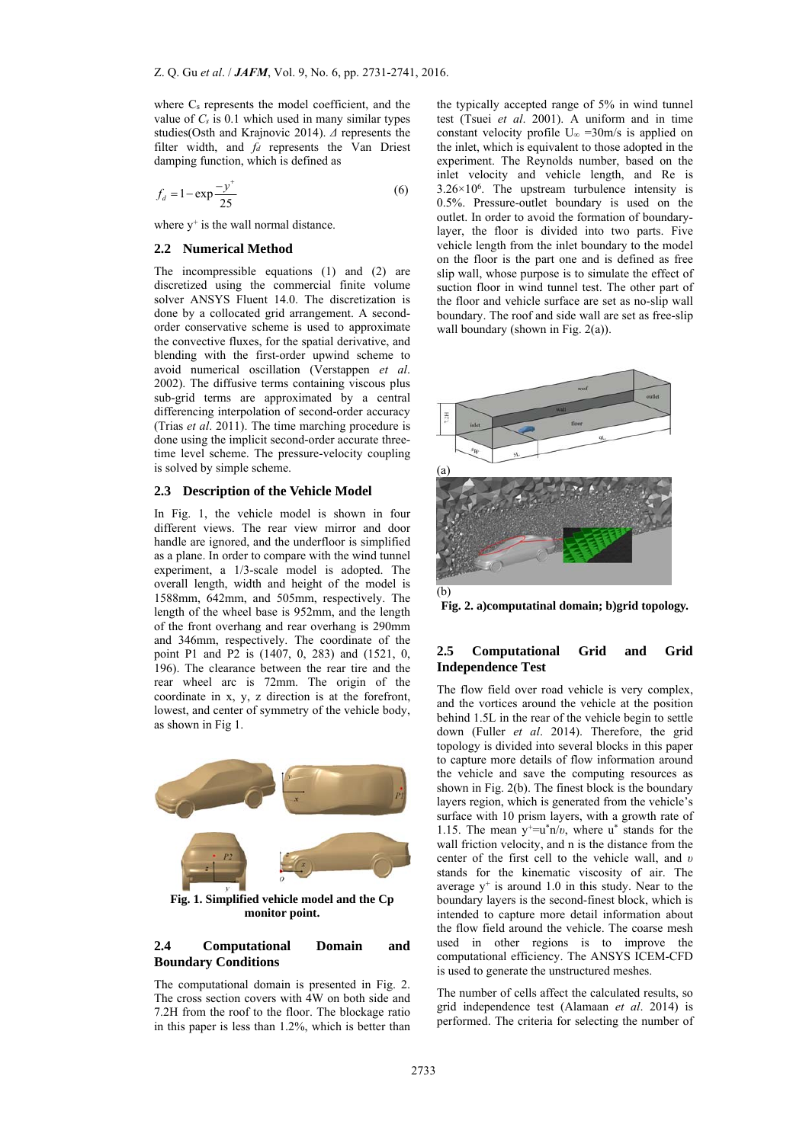where Cs represents the model coefficient, and the value of *Cs* is 0.1 which used in many similar types studies(Osth and Krajnovic 2014). *Δ* represents the filter width, and *fd* represents the Van Driest damping function, which is defined as

$$
f_d = 1 - \exp\frac{-y^+}{25}
$$
 (6)

where  $v^+$  is the wall normal distance.

## **2.2 Numerical Method**

The incompressible equations (1) and (2) are discretized using the commercial finite volume solver ANSYS Fluent 14.0. The discretization is done by a collocated grid arrangement. A secondorder conservative scheme is used to approximate the convective fluxes, for the spatial derivative, and blending with the first-order upwind scheme to avoid numerical oscillation (Verstappen *et al*. 2002). The diffusive terms containing viscous plus sub-grid terms are approximated by a central differencing interpolation of second-order accuracy (Trias *et al*. 2011). The time marching procedure is done using the implicit second-order accurate threetime level scheme. The pressure-velocity coupling is solved by simple scheme.

#### **2.3 Description of the Vehicle Model**

In Fig. 1, the vehicle model is shown in four different views. The rear view mirror and door handle are ignored, and the underfloor is simplified as a plane. In order to compare with the wind tunnel experiment, a 1/3-scale model is adopted. The overall length, width and height of the model is 1588mm, 642mm, and 505mm, respectively. The length of the wheel base is 952mm, and the length of the front overhang and rear overhang is 290mm and 346mm, respectively. The coordinate of the point P1 and P2 is (1407, 0, 283) and (1521, 0, 196). The clearance between the rear tire and the rear wheel arc is 72mm. The origin of the coordinate in x, y, z direction is at the forefront, lowest, and center of symmetry of the vehicle body, as shown in Fig 1.



**Fig. 1. Simplified vehicle model and the Cp monitor point.** 

## **2.4 Computational Domain and Boundary Conditions**

The computational domain is presented in Fig. 2. The cross section covers with 4W on both side and 7.2H from the roof to the floor. The blockage ratio in this paper is less than 1.2%, which is better than the typically accepted range of 5% in wind tunnel test (Tsuei *et al*. 2001). A uniform and in time constant velocity profile U∞ =30m/s is applied on the inlet, which is equivalent to those adopted in the experiment. The Reynolds number, based on the inlet velocity and vehicle length, and Re is  $3.26 \times 10^6$ . The upstream turbulence intensity is 0.5%. Pressure-outlet boundary is used on the outlet. In order to avoid the formation of boundarylayer, the floor is divided into two parts. Five vehicle length from the inlet boundary to the model on the floor is the part one and is defined as free slip wall, whose purpose is to simulate the effect of suction floor in wind tunnel test. The other part of the floor and vehicle surface are set as no-slip wall boundary. The roof and side wall are set as free-slip wall boundary (shown in Fig. 2(a)).



**Fig. 2. a)computatinal domain; b)grid topology.** 

## **2.5 Computational Grid and Grid Independence Test**

The flow field over road vehicle is very complex, and the vortices around the vehicle at the position behind 1.5L in the rear of the vehicle begin to settle down (Fuller *et al*. 2014). Therefore, the grid topology is divided into several blocks in this paper to capture more details of flow information around the vehicle and save the computing resources as shown in Fig. 2(b). The finest block is the boundary layers region, which is generated from the vehicle's surface with 10 prism layers, with a growth rate of 1.15. The mean y+=u\*n/*υ*, where u\* stands for the wall friction velocity, and n is the distance from the center of the first cell to the vehicle wall, and *υ* stands for the kinematic viscosity of air. The average  $y^+$  is around 1.0 in this study. Near to the boundary layers is the second-finest block, which is intended to capture more detail information about the flow field around the vehicle. The coarse mesh used in other regions is to improve the computational efficiency. The ANSYS ICEM-CFD is used to generate the unstructured meshes.

The number of cells affect the calculated results, so grid independence test (Alamaan *et al*. 2014) is performed. The criteria for selecting the number of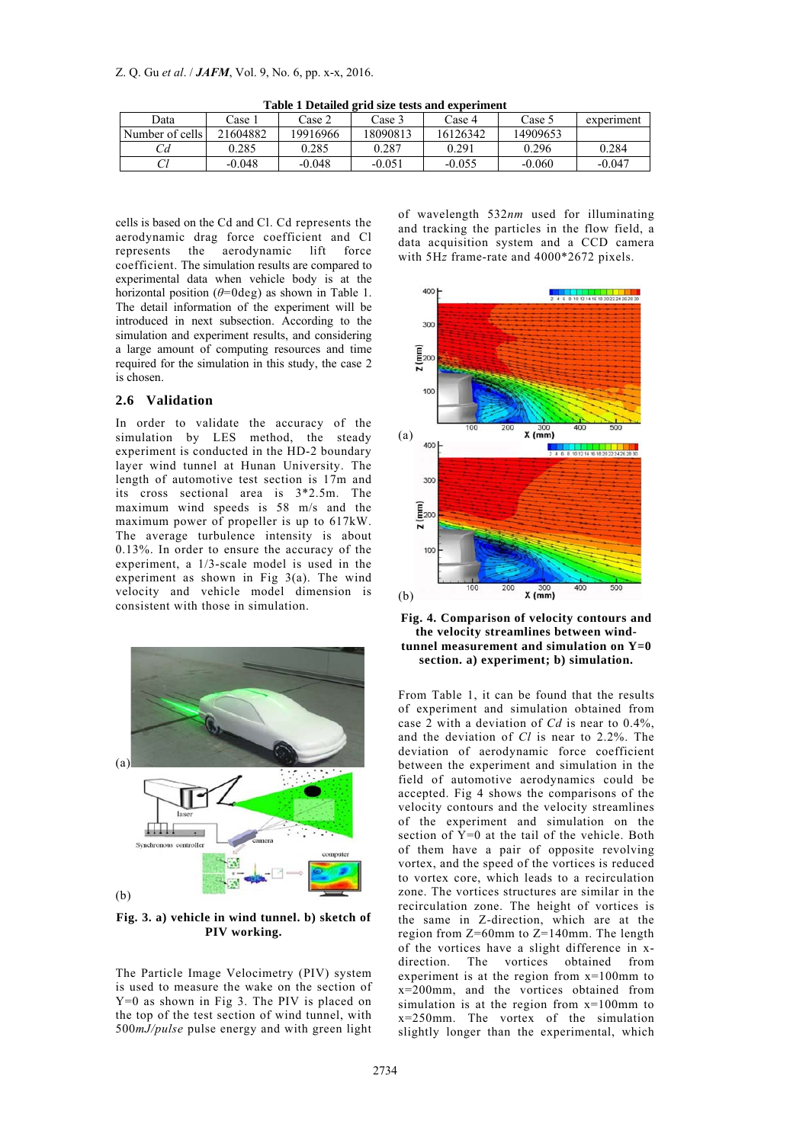| Data            | ∵ase 1   | `ase 2   | Case 3   | ease 4   | Case 5   | experiment |
|-----------------|----------|----------|----------|----------|----------|------------|
| Number of cells | 21604882 | 19916966 | 18090813 | 16126342 | 14909653 |            |
|                 | 0.285    | 0.285    | 0.287    | 0.291    | 0.296    | 0.284      |
| ◡               | $-0.048$ | $-0.048$ | $-0.05!$ | $-0.055$ | $-0.060$ | $-0.047$   |

**Table 1 Detailed grid size tests and experiment** 

cells is based on the Cd and Cl. Cd represents the aerodynamic drag force coefficient and Cl represents the aerodynamic lift force coefficient. The simulation results are compared to experimental data when vehicle body is at the horizontal position  $(\theta = 0 \text{deg})$  as shown in Table 1. The detail information of the experiment will be introduced in next subsection. According to the simulation and experiment results, and considering a large amount of computing resources and time required for the simulation in this study, the case 2 is chosen.

# **2.6 Validation**

In order to validate the accuracy of the simulation by LES method, the steady experiment is conducted in the HD-2 boundary layer wind tunnel at Hunan University. The length of automotive test section is 17m and its cross sectional area is 3\*2.5m. The maximum wind speeds is 58 m/s and the maximum power of propeller is up to 617kW. The average turbulence intensity is about 0.13%. In order to ensure the accuracy of the experiment, a 1/3-scale model is used in the experiment as shown in Fig 3(a). The wind velocity and vehicle model dimension is consistent with those in simulation.



**Fig. 3. a) vehicle in wind tunnel. b) sketch of PIV working.** 

The Particle Image Velocimetry (PIV) system is used to measure the wake on the section of Y=0 as shown in Fig 3. The PIV is placed on the top of the test section of wind tunnel, with 500*mJ/pulse* pulse energy and with green light

of wavelength 532*nm* used for illuminating and tracking the particles in the flow field, a data acquisition system and a CCD camera with 5H*z* frame-rate and 4000\*2672 pixels.





From Table 1, it can be found that the results of experiment and simulation obtained from case  $\tilde{2}$  with a deviation of *Cd* is near to 0.4%. and the deviation of *Cl* is near to 2.2%. The deviation of aerodynamic force coefficient between the experiment and simulation in the field of automotive aerodynamics could be accepted. Fig 4 shows the comparisons of the velocity contours and the velocity streamlines of the experiment and simulation on the section of  $Y=0$  at the tail of the vehicle. Both of them have a pair of opposite revolving vortex, and the speed of the vortices is reduced to vortex core, which leads to a recirculation zone. The vortices structures are similar in the recirculation zone. The height of vortices is the same in Z-direction, which are at the region from Z=60mm to Z=140mm. The length of the vortices have a slight difference in xdirection. The vortices obtained from experiment is at the region from x=100mm to x=200mm, and the vortices obtained from simulation is at the region from x=100mm to x=250mm. The vortex of the simulation slightly longer than the experimental, which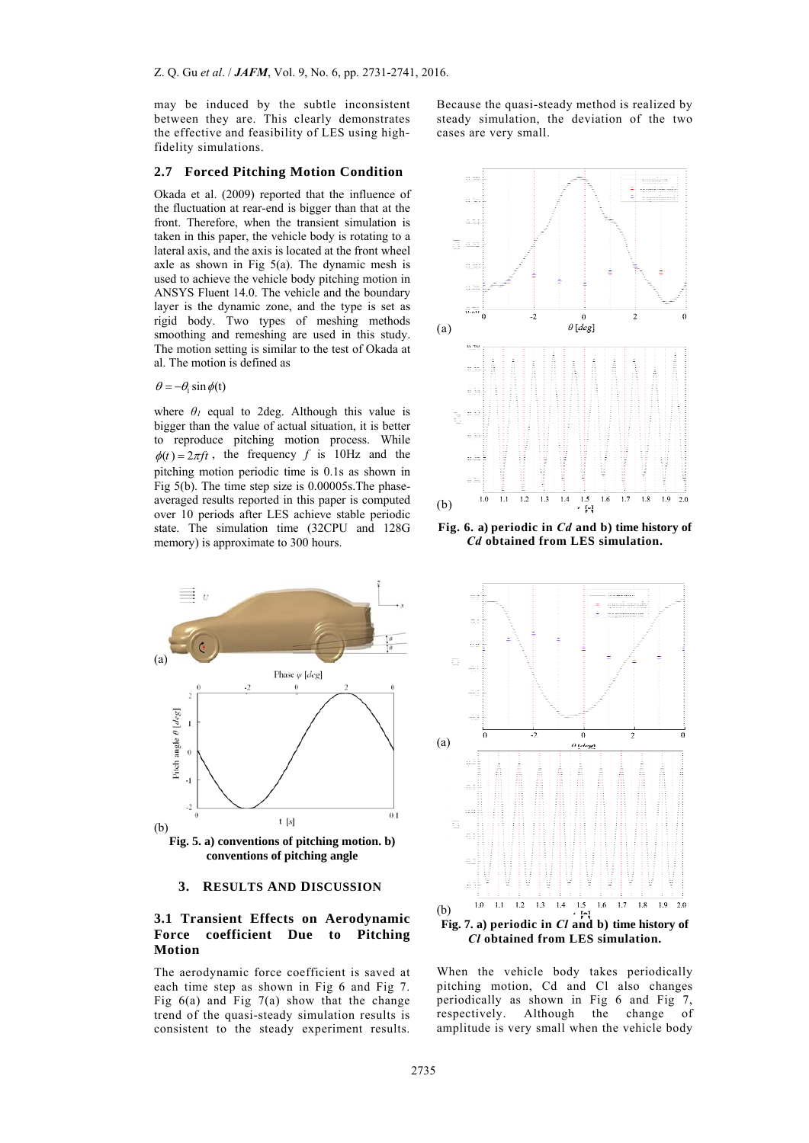may be induced by the subtle inconsistent between they are. This clearly demonstrates the effective and feasibility of LES using highfidelity simulations.

## **2.7 Forced Pitching Motion Condition**

Okada et al. (2009) reported that the influence of the fluctuation at rear-end is bigger than that at the front. Therefore, when the transient simulation is taken in this paper, the vehicle body is rotating to a lateral axis, and the axis is located at the front wheel axle as shown in Fig 5(a). The dynamic mesh is used to achieve the vehicle body pitching motion in ANSYS Fluent 14.0. The vehicle and the boundary layer is the dynamic zone, and the type is set as rigid body. Two types of meshing methods smoothing and remeshing are used in this study. The motion setting is similar to the test of Okada at al. The motion is defined as

 $\theta = -\theta$ , sin  $\phi(t)$ 

where  $\theta$ <sup>*I*</sup> equal to 2deg. Although this value is bigger than the value of actual situation, it is better to reproduce pitching motion process. While  $\phi(t) = 2\pi ft$ , the frequency *f* is 10Hz and the pitching motion periodic time is 0.1s as shown in Fig 5(b). The time step size is 0.00005s.The phaseaveraged results reported in this paper is computed over 10 periods after LES achieve stable periodic state. The simulation time (32CPU and 128G memory) is approximate to 300 hours.

Because the quasi-steady method is realized by steady simulation, the deviation of the two cases are very small.



**Fig. 6. a) periodic in** *Cd* **and b) time history of** *Cd* **obtained from LES simulation.** 





#### **3. RESULTS AND DISCUSSION**

# **3.1 Transient Effects on Aerodynamic Force coefficient Due to Pitching Motion**

The aerodynamic force coefficient is saved at each time step as shown in Fig 6 and Fig 7. Fig  $6(a)$  and Fig  $7(a)$  show that the change trend of the quasi-steady simulation results is consistent to the steady experiment results.



When the vehicle body takes periodically pitching motion, Cd and Cl also changes periodically as shown in Fig 6 and Fig 7, respectively. Although the change of amplitude is very small when the vehicle body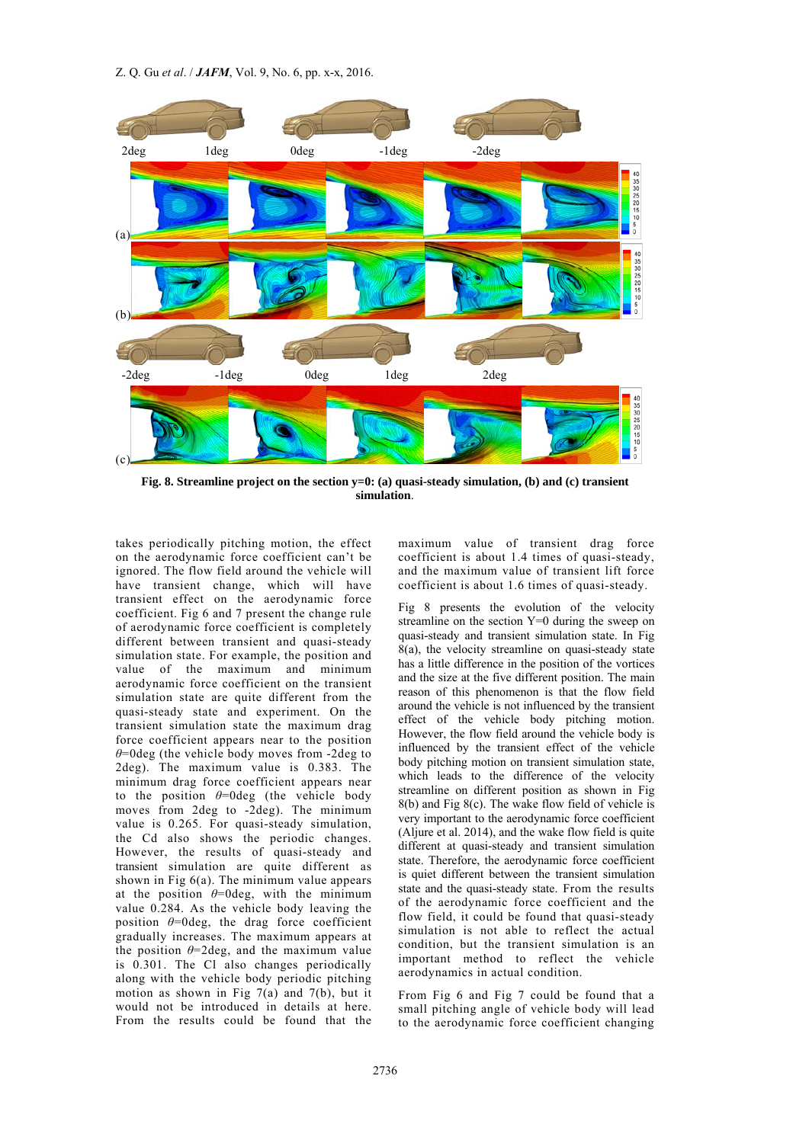Z. Q. Gu *et al*. / *JAFM*, Vol. 9, No. 6, pp. x-x, 2016.



**Fig. 8. Streamline project on the section y=0: (a) quasi-steady simulation, (b) and (c) transient simulation**.

takes periodically pitching motion, the effect on the aerodynamic force coefficient can't be ignored. The flow field around the vehicle will have transient change, which will have transient effect on the aerodynamic force coefficient. Fig 6 and 7 present the change rule of aerodynamic force coefficient is completely different between transient and quasi-steady simulation state. For example, the position and value of the maximum and minimum aerodynamic force coefficient on the transient simulation state are quite different from the quasi-steady state and experiment. On the transient simulation state the maximum drag force coefficient appears near to the position *θ*=0deg (the vehicle body moves from -2deg to 2deg). The maximum value is 0.383. The minimum drag force coefficient appears near to the position *θ*=0deg (the vehicle body moves from 2deg to -2deg). The minimum value is 0.265. For quasi-steady simulation, the Cd also shows the periodic changes. However, the results of quasi-steady and transient simulation are quite different as shown in Fig  $6(a)$ . The minimum value appears at the position  $\theta$ =0deg, with the minimum value 0.284. As the vehicle body leaving the position  $\theta$ =0deg, the drag force coefficient gradually increases. The maximum appears at the position  $\theta$ =2deg, and the maximum value is 0.301. The Cl also changes periodically along with the vehicle body periodic pitching motion as shown in Fig  $7(a)$  and  $7(b)$ , but it would not be introduced in details at here. From the results could be found that the

maximum value of transient drag force coefficient is about 1.4 times of quasi-steady, and the maximum value of transient lift force coefficient is about 1.6 times of quasi-steady.

Fig 8 presents the evolution of the velocity streamline on the section Y=0 during the sweep on quasi-steady and transient simulation state. In Fig  $8(a)$ , the velocity streamline on quasi-steady state has a little difference in the position of the vortices and the size at the five different position. The main reason of this phenomenon is that the flow field around the vehicle is not influenced by the transient effect of the vehicle body pitching motion. However, the flow field around the vehicle body is influenced by the transient effect of the vehicle body pitching motion on transient simulation state, which leads to the difference of the velocity streamline on different position as shown in Fig 8(b) and Fig 8(c). The wake flow field of vehicle is very important to the aerodynamic force coefficient (Aljure et al. 2014), and the wake flow field is quite different at quasi-steady and transient simulation state. Therefore, the aerodynamic force coefficient is quiet different between the transient simulation state and the quasi-steady state. From the results of the aerodynamic force coefficient and the flow field, it could be found that quasi-steady simulation is not able to reflect the actual condition, but the transient simulation is an important method to reflect the vehicle aerodynamics in actual condition.

From Fig 6 and Fig 7 could be found that a small pitching angle of vehicle body will lead to the aerodynamic force coefficient changing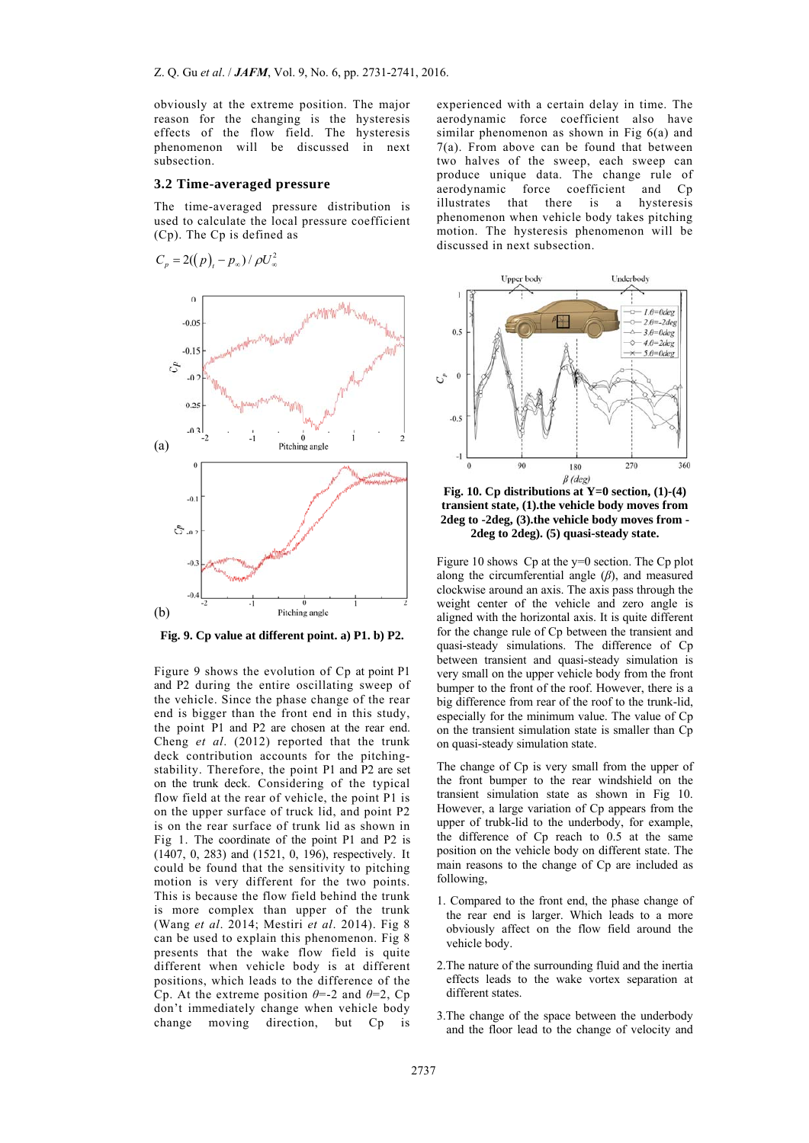obviously at the extreme position. The major reason for the changing is the hysteresis effects of the flow field. The hysteresis phenomenon will be discussed in next subsection.

#### **3.2 Time-averaged pressure**

The time-averaged pressure distribution is used to calculate the local pressure coefficient (Cp). The Cp is defined as



**Fig. 9. Cp value at different point. a) P1. b) P2.**

Figure 9 shows the evolution of Cp at point P1 and P2 during the entire oscillating sweep of the vehicle. Since the phase change of the rear end is bigger than the front end in this study, the point P1 and P2 are chosen at the rear end. Cheng *et al*. (2012) reported that the trunk deck contribution accounts for the pitchingstability. Therefore, the point P1 and P2 are set on the trunk deck. Considering of the typical flow field at the rear of vehicle, the point P1 is on the upper surface of truck lid, and point P2 is on the rear surface of trunk lid as shown in Fig 1. The coordinate of the point P1 and P2 is (1407, 0, 283) and (1521, 0, 196), respectively. It could be found that the sensitivity to pitching motion is very different for the two points. This is because the flow field behind the trunk is more complex than upper of the trunk (Wang *et al*. 2014; Mestiri *et al*. 2014). Fig 8 can be used to explain this phenomenon. Fig 8 presents that the wake flow field is quite different when vehicle body is at different positions, which leads to the difference of the Cp. At the extreme position *θ*=-2 and *θ*=2, Cp don't immediately change when vehicle body change moving direction, but Cp is

experienced with a certain delay in time. The aerodynamic force coefficient also have similar phenomenon as shown in Fig 6(a) and 7(a). From above can be found that between two halves of the sweep, each sweep can produce unique data. The change rule of aerodynamic force coefficient and Cp illustrates that there is a hysteresis phenomenon when vehicle body takes pitching motion. The hysteresis phenomenon will be discussed in next subsection.



**Fig. 10. Cp distributions at Y=0 section, (1)-(4) transient state, (1).the vehicle body moves from 2deg to -2deg, (3).the vehicle body moves from - 2deg to 2deg). (5) quasi-steady state.** 

Figure 10 shows Cp at the y=0 section. The Cp plot along the circumferential angle (*β*), and measured clockwise around an axis. The axis pass through the weight center of the vehicle and zero angle is aligned with the horizontal axis. It is quite different for the change rule of Cp between the transient and quasi-steady simulations. The difference of Cp between transient and quasi-steady simulation is very small on the upper vehicle body from the front bumper to the front of the roof. However, there is a big difference from rear of the roof to the trunk-lid, especially for the minimum value. The value of Cp on the transient simulation state is smaller than Cp on quasi-steady simulation state.

The change of Cp is very small from the upper of the front bumper to the rear windshield on the transient simulation state as shown in Fig 10. However, a large variation of Cp appears from the upper of trubk-lid to the underbody, for example, the difference of Cp reach to 0.5 at the same position on the vehicle body on different state. The main reasons to the change of Cp are included as following,

- 1. Compared to the front end, the phase change of the rear end is larger. Which leads to a more obviously affect on the flow field around the vehicle body.
- 2.The nature of the surrounding fluid and the inertia effects leads to the wake vortex separation at different states.
- 3.The change of the space between the underbody and the floor lead to the change of velocity and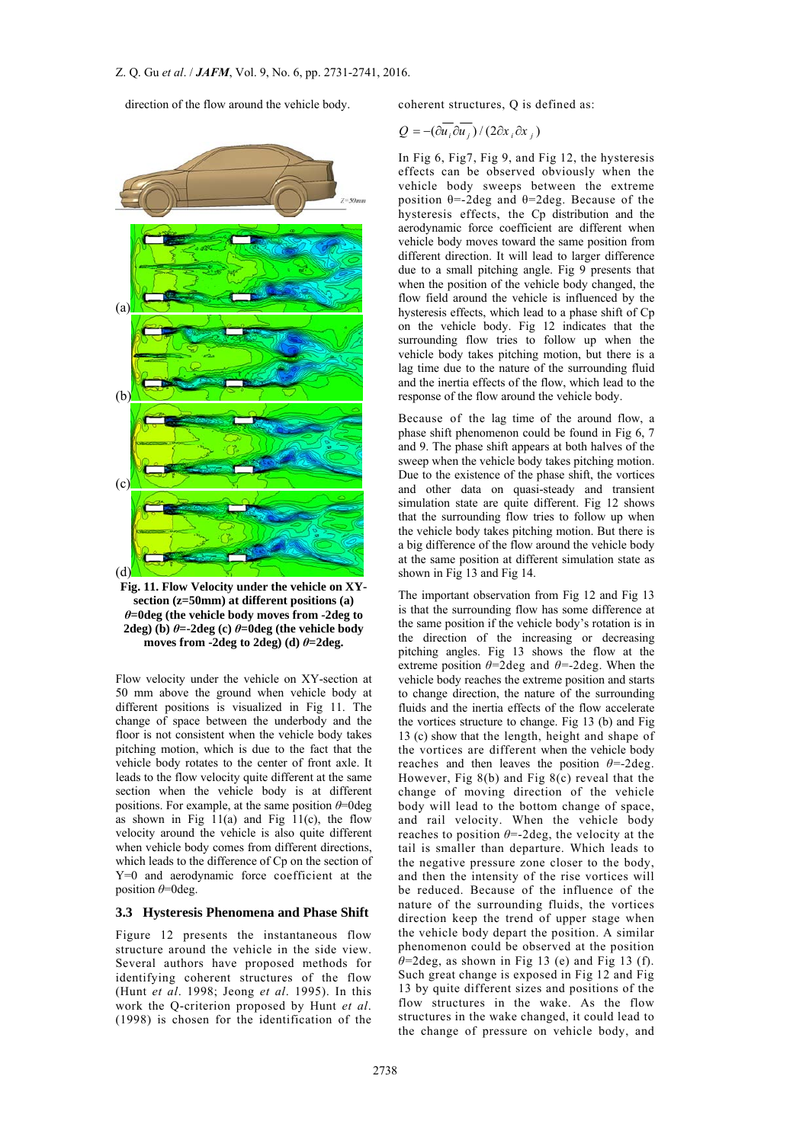direction of the flow around the vehicle body.



**Fig. 11. Flow Velocity under the vehicle on XYsection (z=50mm) at different positions (a)**  *θ***=0deg (the vehicle body moves from -2deg to 2deg**) (b)  $\theta$ =-2deg (c)  $\theta$ =0deg (the vehicle body **moves from -2deg to 2deg) (d)**  $\theta$ **=2deg.** 

Flow velocity under the vehicle on XY-section at 50 mm above the ground when vehicle body at different positions is visualized in Fig 11. The change of space between the underbody and the floor is not consistent when the vehicle body takes pitching motion, which is due to the fact that the vehicle body rotates to the center of front axle. It leads to the flow velocity quite different at the same section when the vehicle body is at different positions. For example, at the same position *θ*=0deg as shown in Fig  $11(a)$  and Fig  $11(c)$ , the flow velocity around the vehicle is also quite different when vehicle body comes from different directions, which leads to the difference of Cp on the section of Y=0 and aerodynamic force coefficient at the position *θ*=0deg.

#### **3.3 Hysteresis Phenomena and Phase Shift**

Figure 12 presents the instantaneous flow structure around the vehicle in the side view. Several authors have proposed methods for identifying coherent structures of the flow (Hunt *et al*. 1998; Jeong *et al*. 1995). In this work the Q-criterion proposed by Hunt *et al*. (1998) is chosen for the identification of the

coherent structures, Q is defined as:

$$
Q = -(\partial u_i \partial u_j) / (2\partial x_i \partial x_j)
$$

In Fig 6, Fig7, Fig 9, and Fig 12, the hysteresis effects can be observed obviously when the vehicle body sweeps between the extreme position  $\theta = 2 \text{deg}$  and  $\theta = 2 \text{deg}$ . Because of the hysteresis effects, the Cp distribution and the aerodynamic force coefficient are different when vehicle body moves toward the same position from different direction. It will lead to larger difference due to a small pitching angle. Fig 9 presents that when the position of the vehicle body changed, the flow field around the vehicle is influenced by the hysteresis effects, which lead to a phase shift of Cp on the vehicle body. Fig 12 indicates that the surrounding flow tries to follow up when the vehicle body takes pitching motion, but there is a lag time due to the nature of the surrounding fluid and the inertia effects of the flow, which lead to the response of the flow around the vehicle body.

Because of the lag time of the around flow, a phase shift phenomenon could be found in Fig 6, 7 and 9. The phase shift appears at both halves of the sweep when the vehicle body takes pitching motion. Due to the existence of the phase shift, the vortices and other data on quasi-steady and transient simulation state are quite different. Fig 12 shows that the surrounding flow tries to follow up when the vehicle body takes pitching motion. But there is a big difference of the flow around the vehicle body at the same position at different simulation state as shown in Fig 13 and Fig 14.

The important observation from Fig 12 and Fig 13 is that the surrounding flow has some difference at the same position if the vehicle body's rotation is in the direction of the increasing or decreasing pitching angles. Fig 13 shows the flow at the extreme position  $\theta$ =2deg and  $\theta$ =-2deg. When the vehicle body reaches the extreme position and starts to change direction, the nature of the surrounding fluids and the inertia effects of the flow accelerate the vortices structure to change. Fig 13 (b) and Fig 13 (c) show that the length, height and shape of the vortices are different when the vehicle body reaches and then leaves the position *θ=-*2deg. However, Fig  $8(b)$  and Fig  $8(c)$  reveal that the change of moving direction of the vehicle body will lead to the bottom change of space, and rail velocity. When the vehicle body reaches to position *θ*=-2deg, the velocity at the tail is smaller than departure. Which leads to the negative pressure zone closer to the body, and then the intensity of the rise vortices will be reduced. Because of the influence of the nature of the surrounding fluids, the vortices direction keep the trend of upper stage when the vehicle body depart the position. A similar phenomenon could be observed at the position  $\theta$ =2deg, as shown in Fig 13 (e) and Fig 13 (f). Such great change is exposed in Fig 12 and Fig 13 by quite different sizes and positions of the flow structures in the wake. As the flow structures in the wake changed, it could lead to the change of pressure on vehicle body, and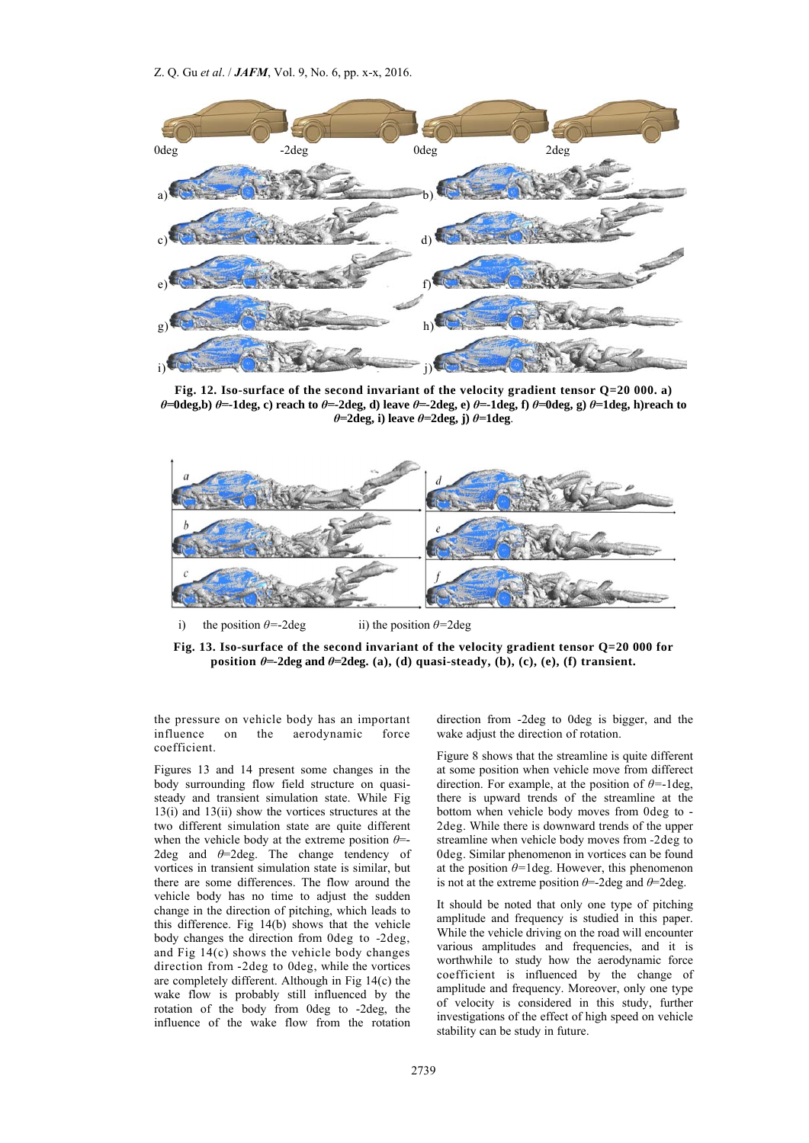

**Fig. 12. Iso-surface of the second invariant of the velocity gradient tensor Q=20 000. a)**  $\theta$ =0deg, b)  $\theta$ =-1deg, c) reach to  $\theta$ =-2deg, d) leave  $\theta$ =-2deg, e)  $\theta$ =-1deg, f)  $\theta$ =0deg, g)  $\theta$ =1deg, h)reach to *θ=***2deg, i) leave** *θ=***2deg, j)** *θ=***1deg**.



i) the position  $\theta$ =-2deg ii) the position  $\theta$ =2deg

**Fig. 13. Iso-surface of the second invariant of the velocity gradient tensor Q=20 000 for position**  $\theta$ **=-2deg and**  $\theta$ **=2deg.** (a), (d) quasi-steady, (b), (c), (e), (f) transient.

the pressure on vehicle body has an important influence on the aerodynamic force coefficient.

Figures 13 and 14 present some changes in the body surrounding flow field structure on quasisteady and transient simulation state. While Fig 13(i) and 13(ii) show the vortices structures at the two different simulation state are quite different when the vehicle body at the extreme position *θ*=- 2deg and *θ*=2deg. The change tendency of vortices in transient simulation state is similar, but there are some differences. The flow around the vehicle body has no time to adjust the sudden change in the direction of pitching, which leads to this difference. Fig 14(b) shows that the vehicle body changes the direction from 0deg to *-*2deg, and Fig 14(c) shows the vehicle body changes direction from -2deg to 0deg, while the vortices are completely different. Although in Fig 14(c) the wake flow is probably still influenced by the rotation of the body from 0deg to -2deg, the influence of the wake flow from the rotation

direction from -2deg to 0deg is bigger, and the wake adjust the direction of rotation.

Figure 8 shows that the streamline is quite different at some position when vehicle move from differect direction. For example, at the position of *θ=*-1deg, there is upward trends of the streamline at the bottom when vehicle body moves from 0deg to - 2deg. While there is downward trends of the upper streamline when vehicle body moves from *-*2deg to 0deg. Similar phenomenon in vortices can be found at the position  $\theta$ =1deg. However, this phenomenon is not at the extreme position  $\theta$ =-2deg and  $\theta$ =2deg.

It should be noted that only one type of pitching amplitude and frequency is studied in this paper. While the vehicle driving on the road will encounter various amplitudes and frequencies, and it is worthwhile to study how the aerodynamic force coefficient is influenced by the change of amplitude and frequency. Moreover, only one type of velocity is considered in this study, further investigations of the effect of high speed on vehicle stability can be study in future.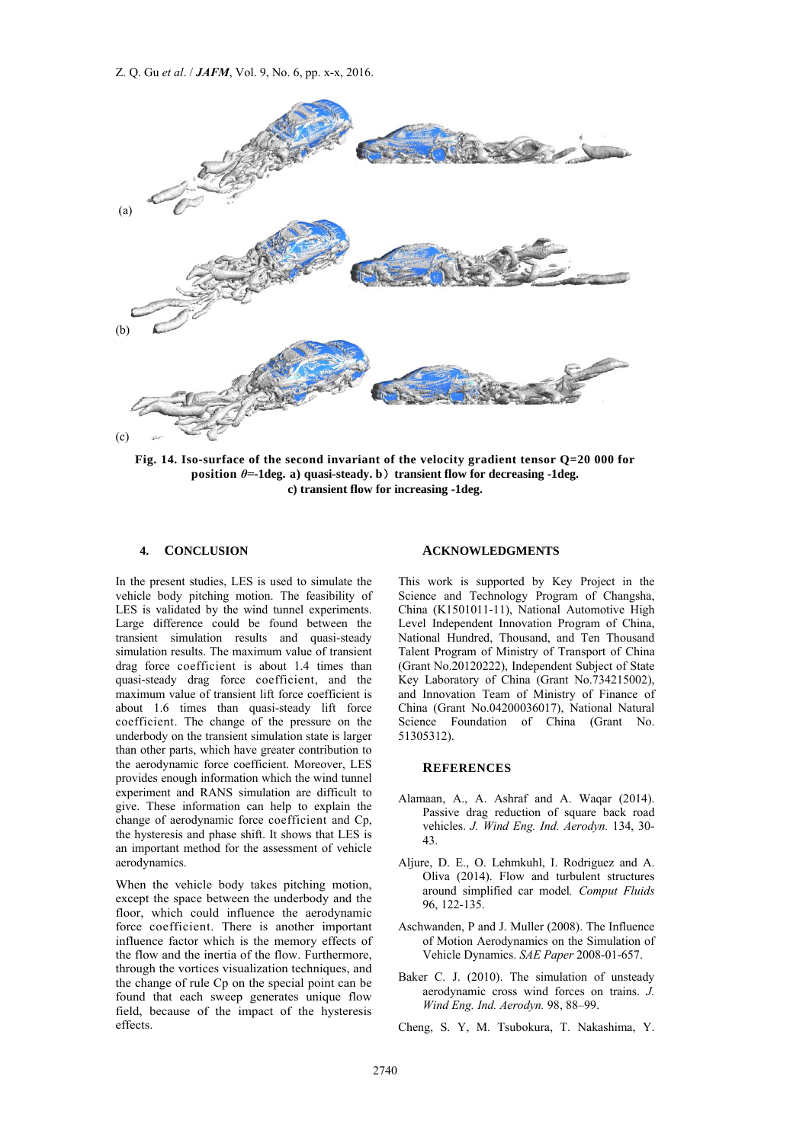Z. Q. Gu *et al*. / *JAFM*, Vol. 9, No. 6, pp. x-x, 2016.



**Fig. 14. Iso-surface of the second invariant of the velocity gradient tensor Q=20 000 for position**  $\theta$ **=-1deg. a)** quasi-steady. **b**) transient flow for decreasing -1deg. **c) transient flow for increasing -1deg.** 

#### **4. CONCLUSION**

In the present studies, LES is used to simulate the vehicle body pitching motion. The feasibility of LES is validated by the wind tunnel experiments. Large difference could be found between the transient simulation results and quasi-steady simulation results. The maximum value of transient drag force coefficient is about 1.4 times than quasi-steady drag force coefficient, and the maximum value of transient lift force coefficient is about 1.6 times than quasi-steady lift force coefficient. The change of the pressure on the underbody on the transient simulation state is larger than other parts, which have greater contribution to the aerodynamic force coefficient. Moreover, LES provides enough information which the wind tunnel experiment and RANS simulation are difficult to give. These information can help to explain the change of aerodynamic force coefficient and Cp, the hysteresis and phase shift. It shows that LES is an important method for the assessment of vehicle aerodynamics.

When the vehicle body takes pitching motion, except the space between the underbody and the floor, which could influence the aerodynamic force coefficient. There is another important influence factor which is the memory effects of the flow and the inertia of the flow. Furthermore, through the vortices visualization techniques, and the change of rule Cp on the special point can be found that each sweep generates unique flow field, because of the impact of the hysteresis effects.

#### **ACKNOWLEDGMENTS**

This work is supported by Key Project in the Science and Technology Program of Changsha, China (K1501011-11), National Automotive High Level Independent Innovation Program of China, National Hundred, Thousand, and Ten Thousand Talent Program of Ministry of Transport of China (Grant No.20120222), Independent Subject of State Key Laboratory of China (Grant No.734215002), and Innovation Team of Ministry of Finance of China (Grant No.04200036017), National Natural Science Foundation of China (Grant No. 51305312).

#### **REFERENCES**

- Alamaan, A., A. Ashraf and A. Waqar (2014). Passive drag reduction of square back road vehicles. *J. Wind Eng. Ind. Aerodyn.* 134, 30- 43.
- Aljure, D. E., O. Lehmkuhl, I. Rodriguez and A. Oliva (2014). Flow and turbulent structures around simplified car model*. Comput Fluids* 96, 122-135.
- Aschwanden, P and J. Muller (2008). The Influence of Motion Aerodynamics on the Simulation of Vehicle Dynamics. *SAE Paper* 2008-01-657.
- Baker C. J. (2010). The simulation of unsteady aerodynamic cross wind forces on trains. *J. Wind Eng. Ind. Aerodyn.* 98, 88–99.
- Cheng, S. Y, M. Tsubokura, T. Nakashima, Y.